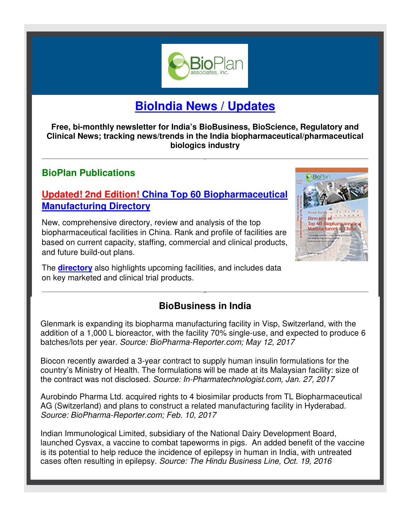

# **BioIndia News / Updates**

**Free, bi-monthly newsletter for India's BioBusiness, BioScience, Regulatory and Clinical News; tracking news/trends in the India biopharmaceutical/pharmaceutical biologics industry** 

## **BioPlan Publications**

## **Updated! 2nd Edition! China Top 60 Biopharmaceutical Manufacturing Directory**

New, comprehensive directory, review and analysis of the top biopharmaceutical facilities in China. Rank and profile of facilities are based on current capacity, staffing, commercial and clinical products, and future build-out plans.

The **directory** also highlights upcoming facilities, and includes data on key marketed and clinical trial products.



# **BioBusiness in India**

Glenmark is expanding its biopharma manufacturing facility in Visp, Switzerland, with the addition of a 1,000 L bioreactor, with the facility 70% single-use, and expected to produce 6 batches/lots per year. *Source: BioPharma-Reporter.com; May 12, 2017*

Biocon recently awarded a 3-year contract to supply human insulin formulations for the country's Ministry of Health. The formulations will be made at its Malaysian facility: size of the contract was not disclosed. *Source: In-Pharmatechnologist.com, Jan. 27, 2017*

Aurobindo Pharma Ltd. acquired rights to 4 biosimilar products from TL Biopharmaceutical AG (Switzerland) and plans to construct a related manufacturing facility in Hyderabad. *Source: BioPharma-Reporter.com; Feb. 10, 2017* 

Indian Immunological Limited, subsidiary of the National Dairy Development Board, launched Cysvax, a vaccine to combat tapeworms in pigs. An added benefit of the vaccine is its potential to help reduce the incidence of epilepsy in human in India, with untreated cases often resulting in epilepsy. *Source: The Hindu Business Line, Oct. 19, 2016*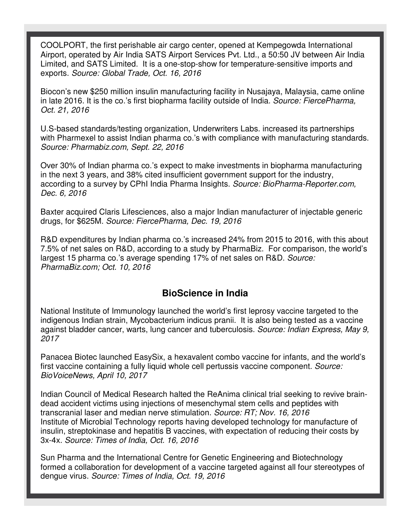COOLPORT, the first perishable air cargo center, opened at Kempegowda International Airport, operated by Air India SATS Airport Services Pvt. Ltd., a 50:50 JV between Air India Limited, and SATS Limited. It is a one-stop-show for temperature-sensitive imports and exports. *Source: Global Trade, Oct. 16, 2016*

Biocon's new \$250 million insulin manufacturing facility in Nusajaya, Malaysia, came online in late 2016. It is the co.'s first biopharma facility outside of India. *Source: FiercePharma, Oct. 21, 2016*

U.S-based standards/testing organization, Underwriters Labs. increased its partnerships with Pharmexel to assist Indian pharma co.'s with compliance with manufacturing standards. *Source: Pharmabiz.com, Sept. 22, 2016*

Over 30% of Indian pharma co.'s expect to make investments in biopharma manufacturing in the next 3 years, and 38% cited insufficient government support for the industry, according to a survey by CPhI India Pharma Insights. *Source: BioPharma-Reporter.com, Dec. 6, 2016*

Baxter acquired Claris Lifesciences, also a major Indian manufacturer of injectable generic drugs, for \$625M. *Source: FiercePharma, Dec. 19, 2016*

R&D expenditures by Indian pharma co.'s increased 24% from 2015 to 2016, with this about 7.5% of net sales on R&D, according to a study by PharmaBiz. For comparison, the world's largest 15 pharma co.'s average spending 17% of net sales on R&D. *Source: PharmaBiz.com; Oct. 10, 2016*

#### **BioScience in India**

National Institute of Immunology launched the world's first leprosy vaccine targeted to the indigenous Indian strain, Mycobacterium indicus pranii. It is also being tested as a vaccine against bladder cancer, warts, lung cancer and tuberculosis. *Source: Indian Express, May 9, 2017*

Panacea Biotec launched EasySix, a hexavalent combo vaccine for infants, and the world's first vaccine containing a fully liquid whole cell pertussis vaccine component. *Source: BioVoiceNews, April 10, 2017* 

Indian Council of Medical Research halted the ReAnima clinical trial seeking to revive braindead accident victims using injections of mesenchymal stem cells and peptides with transcranial laser and median nerve stimulation. *Source: RT; Nov. 16, 2016*  Institute of Microbial Technology reports having developed technology for manufacture of insulin, streptokinase and hepatitis B vaccines, with expectation of reducing their costs by 3x-4x. *Source: Times of India, Oct. 16, 2016*

Sun Pharma and the International Centre for Genetic Engineering and Biotechnology formed a collaboration for development of a vaccine targeted against all four stereotypes of dengue virus. *Source: Times of India, Oct. 19, 2016*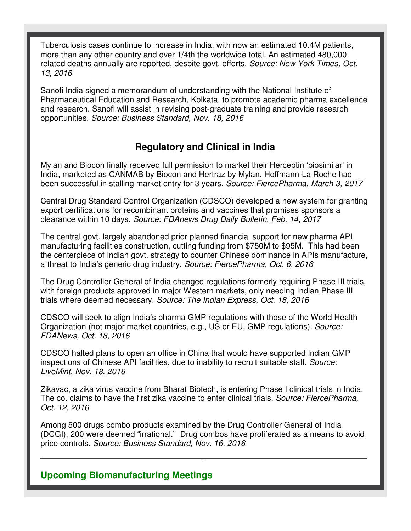Tuberculosis cases continue to increase in India, with now an estimated 10.4M patients, more than any other country and over 1/4th the worldwide total. An estimated 480,000 related deaths annually are reported, despite govt. efforts. *Source: New York Times, Oct. 13, 2016*

Sanofi India signed a memorandum of understanding with the National Institute of Pharmaceutical Education and Research, Kolkata, to promote academic pharma excellence and research. Sanofi will assist in revising post-graduate training and provide research opportunities. *Source: Business Standard, Nov. 18, 2016* 

### **Regulatory and Clinical in India**

Mylan and Biocon finally received full permission to market their Herceptin 'biosimilar' in India, marketed as CANMAB by Biocon and Hertraz by Mylan, Hoffmann-La Roche had been successful in stalling market entry for 3 years. *Source: FiercePharma, March 3, 2017*

Central Drug Standard Control Organization (CDSCO) developed a new system for granting export certifications for recombinant proteins and vaccines that promises sponsors a clearance within 10 days. *Source: FDAnews Drug Daily Bulletin, Feb. 14, 2017*

The central govt. largely abandoned prior planned financial support for new pharma API manufacturing facilities construction, cutting funding from \$750M to \$95M. This had been the centerpiece of Indian govt. strategy to counter Chinese dominance in APIs manufacture, a threat to India's generic drug industry. *Source: FiercePharma, Oct. 6, 2016*

The Drug Controller General of India changed regulations formerly requiring Phase III trials, with foreign products approved in major Western markets, only needing Indian Phase III trials where deemed necessary. *Source: The Indian Express, Oct. 18, 2016*

CDSCO will seek to align India's pharma GMP regulations with those of the World Health Organization (not major market countries, e.g., US or EU, GMP regulations). *Source: FDANews, Oct. 18, 2016*

CDSCO halted plans to open an office in China that would have supported Indian GMP inspections of Chinese API facilities, due to inability to recruit suitable staff. *Source: LiveMint, Nov. 18, 2016* 

Zikavac, a zika virus vaccine from Bharat Biotech, is entering Phase I clinical trials in India. The co. claims to have the first zika vaccine to enter clinical trials. *Source: FiercePharma, Oct. 12, 2016*

Among 500 drugs combo products examined by the Drug Controller General of India (DCGI), 200 were deemed "irrational." Drug combos have proliferated as a means to avoid price controls. *Source: Business Standard, Nov. 16, 2016* 

#### **Upcoming Biomanufacturing Meetings**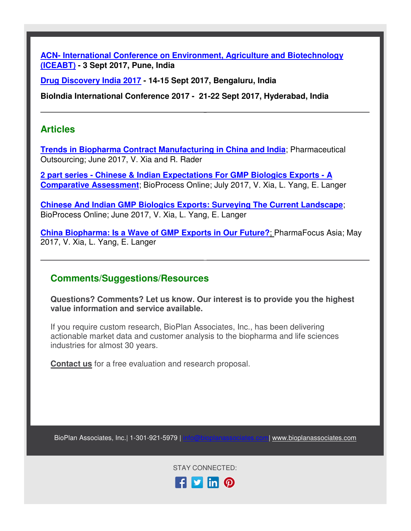**ACN- International Conference on Environment, Agriculture and Biotechnology (ICEABT) - 3 Sept 2017, Pune, India** 

**Drug Discovery India 2017 - 14-15 Sept 2017, Bengaluru, India**

**BioIndia International Conference 2017 - 21-22 Sept 2017, Hyderabad, India**

#### **Articles**

**Trends in Biopharma Contract Manufacturing in China and India**; Pharmaceutical Outsourcing; June 2017, V. Xia and R. Rader

**2 part series - Chinese & Indian Expectations For GMP Biologics Exports - A Comparative Assessment**; BioProcess Online; July 2017, V. Xia, L. Yang, E. Langer

**Chinese And Indian GMP Biologics Exports: Surveying The Current Landscape**; BioProcess Online; June 2017, V. Xia, L. Yang, E. Langer

**China Biopharma: Is a Wave of GMP Exports in Our Future?**; PharmaFocus Asia; May 2017, V. Xia, L. Yang, E. Langer

#### **Comments/Suggestions/Resources**

**Questions? Comments? Let us know. Our interest is to provide you the highest value information and service available.**

If you require custom research, BioPlan Associates, Inc., has been delivering actionable market data and customer analysis to the biopharma and life sciences industries for almost 30 years.

**Contact us** for a free evaluation and research proposal.

BioPlan Associates, Inc.| 1-301-921-5979 | info@bioplanassociates.com| www.bioplanassociates.com

STAY CONNECTED: